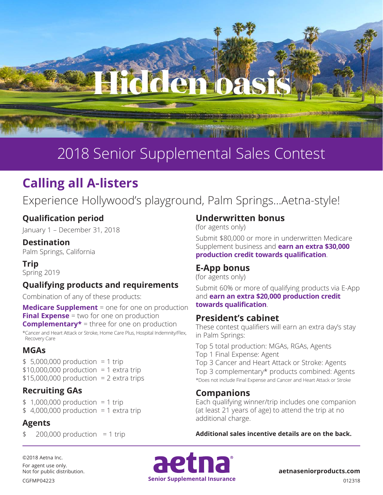

## 2018 Senior Supplemental Sales Contest

### **Calling all A-listers**

Experience Hollywood's playground, Palm Springs…Aetna-style!

#### **Qualification period**

January 1 – December 31, 2018

#### **Destination**

Palm Springs, California

**Trip** Spring 2019

#### **Qualifying products and requirements**

Combination of any of these products:

**Medicare Supplement** = one for one on production **Final Expense** = two for one on production **Complementary\*** = three for one on production

\*Cancer and Heart Attack or Stroke, Home Care Plus, Hospital Indemnity/Flex, Recovery Care

#### **MGAs**

 $$ 5,000,000$  production = 1 trip  $$10,000,000$  production = 1 extra trip  $$15,000,000$  production = 2 extra trips

#### **Recruiting GAs**

 $$1,000,000$  production = 1 trip  $$4,000,000$  production = 1 extra trip

#### **Agents**

 $200,000$  production = 1 trip

#### **Underwritten bonus**

(for agents only)

Submit \$80,000 or more in underwritten Medicare Supplement business and **earn an extra \$30,000 production credit towards qualification**.

#### **E-App bonus**

(for agents only)

Submit 60% or more of qualifying products via E-App and **earn an extra \$20,000 production credit towards qualification**.

#### **President's cabinet**

These contest qualifiers will earn an extra day's stay in Palm Springs:

Top 5 total production: MGAs, RGAs, Agents Top 1 Final Expense: Agent Top 3 Cancer and Heart Attack or Stroke: Agents Top 3 complementary\* products combined: Agents \*Does not include Final Expense and Cancer and Heart Attack or Stroke

#### **Companions**

Each qualifying winner/trip includes one companion (at least 21 years of age) to attend the trip at no additional charge.

**Additional sales incentive details are on the back.**

©2018 Aetna Inc. For agent use only. Not for public distribution.



**aetnaseniorproducts.com**